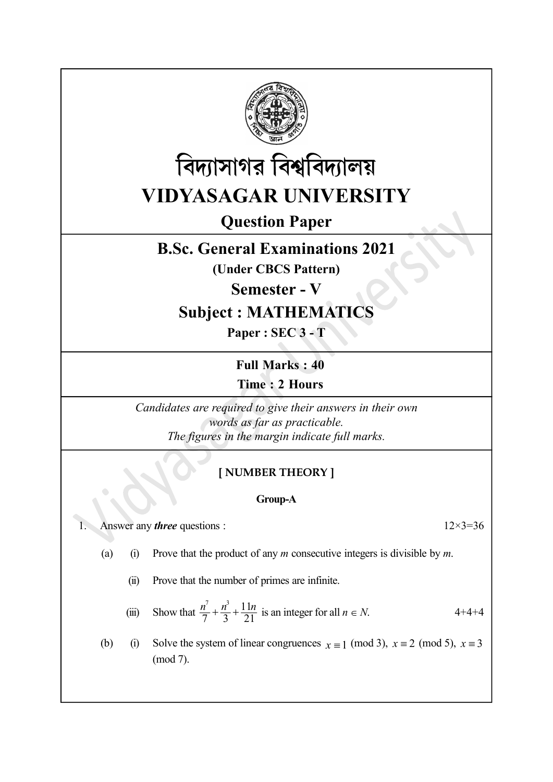



Question Paper

## B.Sc. General Examinations 2021

(Under CBCS Pattern)

Semester - V

# Subject : MATHEMATICS

Paper : SEC 3 - T

Full Marks : 40

Time : 2 Hours

Candidates are required to give their answers in their own words as far as practicable. The figures in the margin indicate full marks.

## [ NUMBER THEORY ]

### Group-A

1. Answer any *three* questions :  $12 \times 3 = 36$ 

- (a) (i) Prove that the product of any m consecutive integers is divisible by m.
	- (ii) Prove that the number of primes are infinite.
	- (iii) Show that  $\frac{n^7}{7} + \frac{n^3}{3} + \frac{11n}{21}$  is an integer for all  $n \in N$ . 4+4+4
- (b) (i) Solve the system of linear congruences  $x \equiv 1 \pmod{3}$ ,  $x \equiv 2 \pmod{5}$ ,  $x \equiv 3$ (mod 7).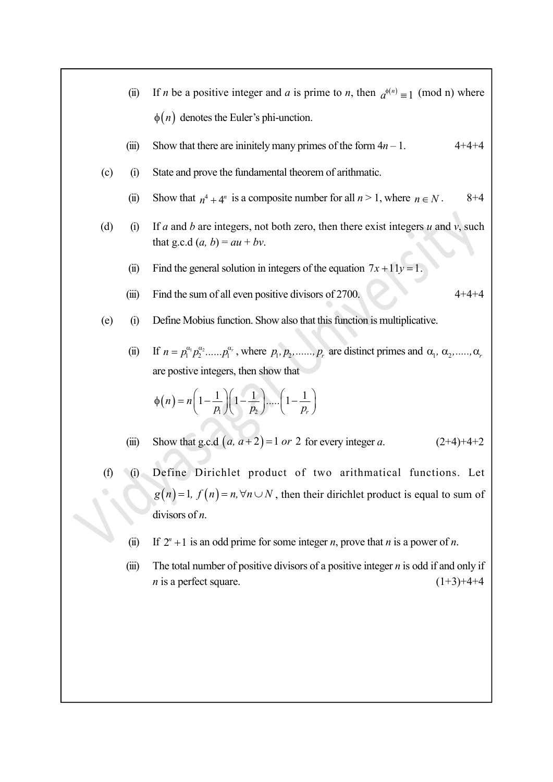|     | (ii)  | If <i>n</i> be a positive integer and <i>a</i> is prime to <i>n</i> , then $a^{\phi(n)} \equiv 1 \pmod{n}$ where                                                                                 |  |  |  |
|-----|-------|--------------------------------------------------------------------------------------------------------------------------------------------------------------------------------------------------|--|--|--|
|     |       | $\phi(n)$ denotes the Euler's phi-unction.                                                                                                                                                       |  |  |  |
|     | (iii) | Show that there are ininitely many primes of the form $4n - 1$ .<br>$4 + 4 + 4$                                                                                                                  |  |  |  |
| (c) | (i)   | State and prove the fundamental theorem of arithmatic.                                                                                                                                           |  |  |  |
|     | (ii)  | Show that $n^4 + 4^n$ is a composite number for all $n > 1$ , where $n \in N$ .<br>$8 + 4$                                                                                                       |  |  |  |
| (d) | (i)   | If a and b are integers, not both zero, then there exist integers $u$ and $v$ , such<br>that g.c.d $(a, b) = au + bv$ .                                                                          |  |  |  |
|     | (ii)  | Find the general solution in integers of the equation $7x + 11y = 1$ .                                                                                                                           |  |  |  |
|     | (iii) | Find the sum of all even positive divisors of 2700.<br>$4 + 4 + 4$                                                                                                                               |  |  |  |
| (e) | (i)   | Define Mobius function. Show also that this function is multiplicative.                                                                                                                          |  |  |  |
|     | (ii)  | If $n = p_1^{\alpha_1} p_2^{\alpha_2} \dots p_1^{\alpha_r}$ , where $p_1, p_2, \dots, p_r$ are distinct primes and $\alpha_1, \alpha_2, \dots, \alpha_r$<br>are postive integers, then show that |  |  |  |
|     |       | $\phi(n) = n\left(1-\frac{1}{p_1}\right)\left(1-\frac{1}{p_2}\right)\dots\left(1-\frac{1}{p_n}\right)$                                                                                           |  |  |  |
|     | (iii) | Show that g.c.d $(a, a+2)=1$ or 2 for every integer a.<br>$(2+4)+4+2$                                                                                                                            |  |  |  |
| (f) | (i)   | Define Dirichlet product of two arithmatical functions. Let                                                                                                                                      |  |  |  |
|     |       | $g(n) = 1$ , $f(n) = n, \forall n \cup N$ , then their dirichlet product is equal to sum of                                                                                                      |  |  |  |
|     |       | divisors of $n$ .                                                                                                                                                                                |  |  |  |
|     | (ii)  | If $2^n + 1$ is an odd prime for some integer <i>n</i> , prove that <i>n</i> is a power of <i>n</i> .                                                                                            |  |  |  |
|     | (iii) | The total number of positive divisors of a positive integer $n$ is odd if and only if<br>$n$ is a perfect square.<br>$(1+3)+4+4$                                                                 |  |  |  |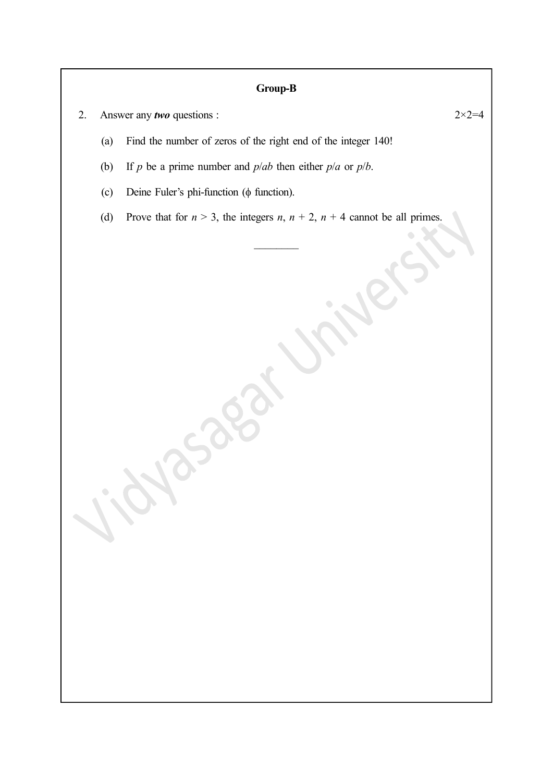## Group-B

- 2. Answer any *two* questions :  $2 \times 2 = 4$ 
	- (a) Find the number of zeros of the right end of the integer 140!
	- (b) If p be a prime number and  $p/ab$  then either  $p/a$  or  $p/b$ .
	- (c) Deine Fuler's phi-function ( $\phi$  function).
	- (d) Prove that for  $n > 3$ , the integers  $n, n + 2, n + 4$  cannot be all primes.

| Jicharaget Vrivers |  |  |
|--------------------|--|--|
|                    |  |  |

 $\sim$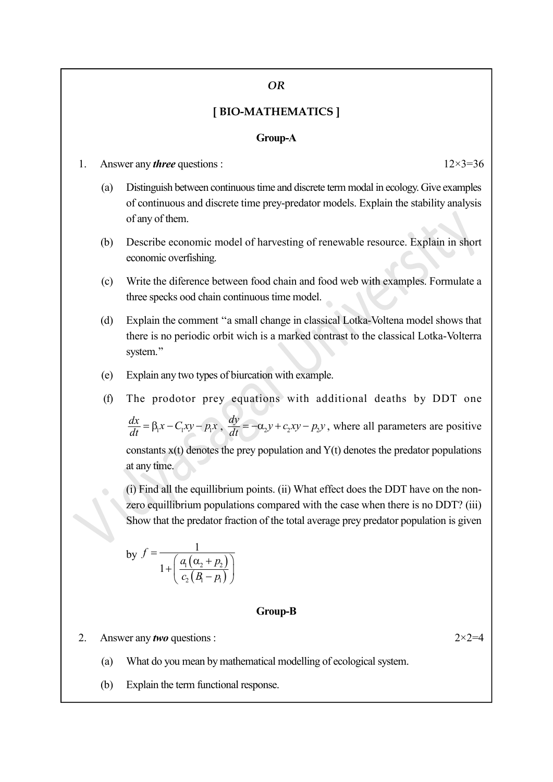#### OR

### [ BIO-MATHEMATICS ]

#### Group-A

1. Answer any *three* questions :  $12 \times 3 = 36$ 

- (a) Distinguish between continuous time and discrete term modal in ecology. Give examples of continuous and discrete time prey-predator models. Explain the stability analysis of any of them.
- (b) Describe economic model of harvesting of renewable resource. Explain in short economic overfishing.
- (c) Write the diference between food chain and food web with examples. Formulate a three specks ood chain continuous time model.
- (d) Explain the comment ''a small change in classical Lotka-Voltena model shows that there is no periodic orbit wich is a marked contrast to the classical Lotka-Volterra system.''
- (e) Explain any two types of biurcation with example.
- (f) The prodotor prey equations with additional deaths by DDT one

 $\frac{dx}{dt} = \beta_1 x - C_1 xy - p_1 x$ ,  $\frac{dy}{dt} = -\alpha_2 y + c_2 xy - p_2 y$ , where all parameters are positive constants  $x(t)$  denotes the prey population and  $Y(t)$  denotes the predator populations at any time. Explain the comment "a small change in classical Lotka-Voltena model shows that<br>there is no periodic orbit wich is a marked contrast to the classical Lotka-Volterra<br>system."<br>Explain any two types of biurcation with exampl odic orbit wich is a marked contrast to the classical Lotka-Volterra<br>
b types of biurcation with example.<br>
r prey equations with additional deaths by DDT one<br>  $v - px$ ,  $\frac{dy}{dt} = -\alpha_2 y + c_2 xy - p_2 y$ , where all parameters are po

(i) Find all the equillibrium points. (ii) What effect does the DDT have on the nonzero equillibrium populations compared with the case when there is no DDT? (iii) Show that the predator fraction of the total average prey predator population is given

by 
$$
f = \frac{1}{1 + \left(\frac{a_1(\alpha_2 + p_2)}{c_2(B_1 - p_1)}\right)}
$$

#### Group-B

2. Answer any *two* questions :  $2 \times 2 = 4$ 

- (a) What do you mean by mathematical modelling of ecological system.
- (b) Explain the term functional response.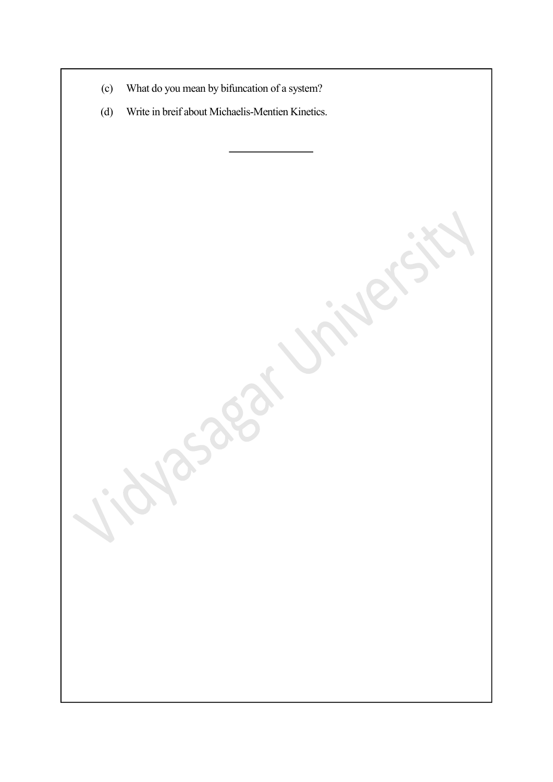- (c) What do you mean by bifuncation of a system?
- (d) Write in breif about Michaelis-Mentien Kinetics.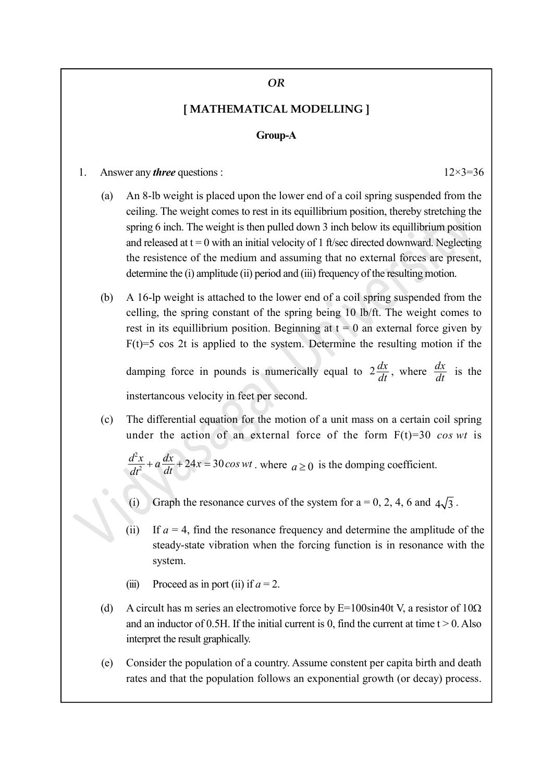#### OR

### [ MATHEMATICAL MODELLING ]

#### Group-A

- 1. Answer any *three* questions :  $12 \times 3 = 36$ 
	- (a) An 8-lb weight is placed upon the lower end of a coil spring suspended from the ceiling. The weight comes to rest in its equillibrium position, thereby stretching the spring 6 inch. The weight is then pulled down 3 inch below its equillibrium position and released at  $t = 0$  with an initial velocity of 1 ft/sec directed downward. Neglecting the resistence of the medium and assuming that no external forces are present, determine the (i) amplitude (ii) period and (iii) frequency of the resulting motion.
	- (b) A 16-lp weight is attached to the lower end of a coil spring suspended from the celling, the spring constant of the spring being 10 lb/ft. The weight comes to rest in its equillibrium position. Beginning at  $t = 0$  an external force given by  $F(t)=5$  cos 2t is applied to the system. Determine the resulting motion if the

damping force in pounds is numerically equal to  $2\frac{dx}{dt}$ , where  $\frac{dx}{dt}$  is the instertancous velocity in feet per second.

(c) The differential equation for the motion of a unit mass on a certain coil spring under the action of an external force of the form  $F(t)=30 \cos wt$  is

 $\frac{d^2x}{dt^2} + a\frac{dx}{dt} + 24x = 30\cos wt$ , where  $a \ge 0$  is the domping coefficient.

- (i) Graph the resonance curves of the system for  $a = 0, 2, 4, 6$  and  $4\sqrt{3}$ .
- (ii) If  $a = 4$ , find the resonance frequency and determine the amplitude of the steady-state vibration when the forcing function is in resonance with the system.
- (iii) Proceed as in port (ii) if  $a = 2$ .
- (d) A circult has m series an electromotive force by  $E=100\sin 40t$  V, a resistor of  $10\Omega$ and an inductor of 0.5H. If the initial current is 0, find the current at time  $t > 0$ . Also interpret the result graphically.
- (e) Consider the population of a country. Assume constent per capita birth and death rates and that the population follows an exponential growth (or decay) process.